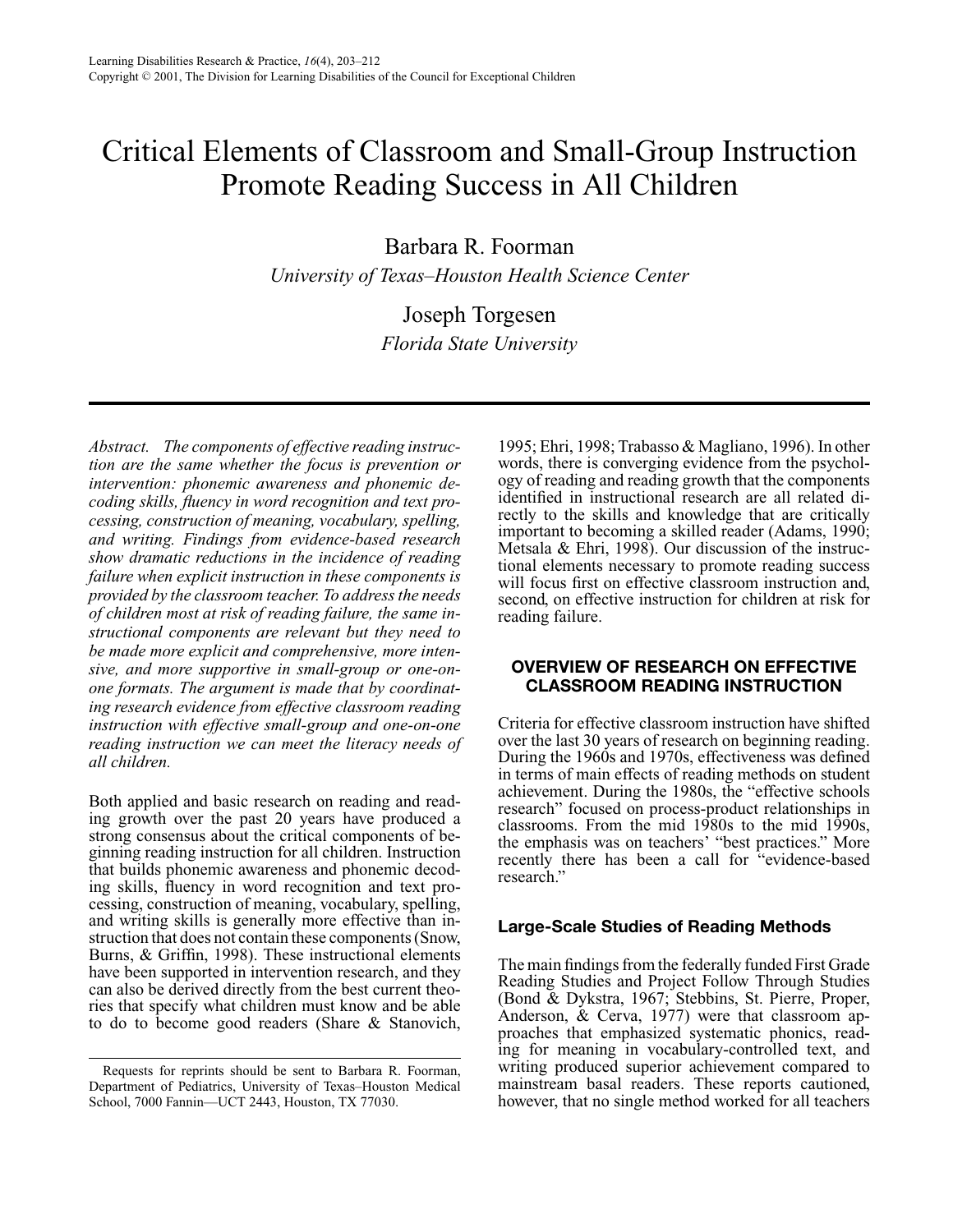# Critical Elements of Classroom and Small-Group Instruction Promote Reading Success in All Children

Barbara R. Foorman

*University of Texas–Houston Health Science Center*

# Joseph Torgesen

*Florida State University*

*Abstract. The components of effective reading instruction are the same whether the focus is prevention or intervention: phonemic awareness and phonemic decoding skills, fluency in word recognition and text processing, construction of meaning, vocabulary, spelling, and writing. Findings from evidence-based research show dramatic reductions in the incidence of reading failure when explicit instruction in these components is provided by the classroom teacher. To address the needs of children most at risk of reading failure, the same instructional components are relevant but they need to be made more explicit and comprehensive, more intensive, and more supportive in small-group or one-onone formats. The argument is made that by coordinating research evidence from effective classroom reading instruction with effective small-group and one-on-one reading instruction we can meet the literacy needs of all children.*

Both applied and basic research on reading and reading growth over the past 20 years have produced a strong consensus about the critical components of beginning reading instruction for all children. Instruction that builds phonemic awareness and phonemic decoding skills, fluency in word recognition and text processing, construction of meaning, vocabulary, spelling, and writing skills is generally more effective than instruction that does not contain these components (Snow, Burns, & Griffin, 1998). These instructional elements have been supported in intervention research, and they can also be derived directly from the best current theories that specify what children must know and be able to do to become good readers (Share & Stanovich,

1995; Ehri, 1998; Trabasso & Magliano, 1996). In other words, there is converging evidence from the psychology of reading and reading growth that the components identified in instructional research are all related directly to the skills and knowledge that are critically important to becoming a skilled reader (Adams, 1990; Metsala & Ehri, 1998). Our discussion of the instructional elements necessary to promote reading success will focus first on effective classroom instruction and, second, on effective instruction for children at risk for reading failure.

# **OVERVIEW OF RESEARCH ON EFFECTIVE CLASSROOM READING INSTRUCTION**

Criteria for effective classroom instruction have shifted over the last 30 years of research on beginning reading. During the 1960s and 1970s, effectiveness was defined in terms of main effects of reading methods on student achievement. During the 1980s, the "effective schools research" focused on process-product relationships in classrooms. From the mid 1980s to the mid 1990s, the emphasis was on teachers' "best practices." More recently there has been a call for "evidence-based research."

# **Large-Scale Studies of Reading Methods**

The main findings from the federally funded First Grade Reading Studies and Project Follow Through Studies (Bond & Dykstra, 1967; Stebbins, St. Pierre, Proper, Anderson, & Cerva, 1977) were that classroom approaches that emphasized systematic phonics, reading for meaning in vocabulary-controlled text, and writing produced superior achievement compared to mainstream basal readers. These reports cautioned, however, that no single method worked for all teachers

Requests for reprints should be sent to Barbara R. Foorman, Department of Pediatrics, University of Texas–Houston Medical School, 7000 Fannin—UCT 2443, Houston, TX 77030.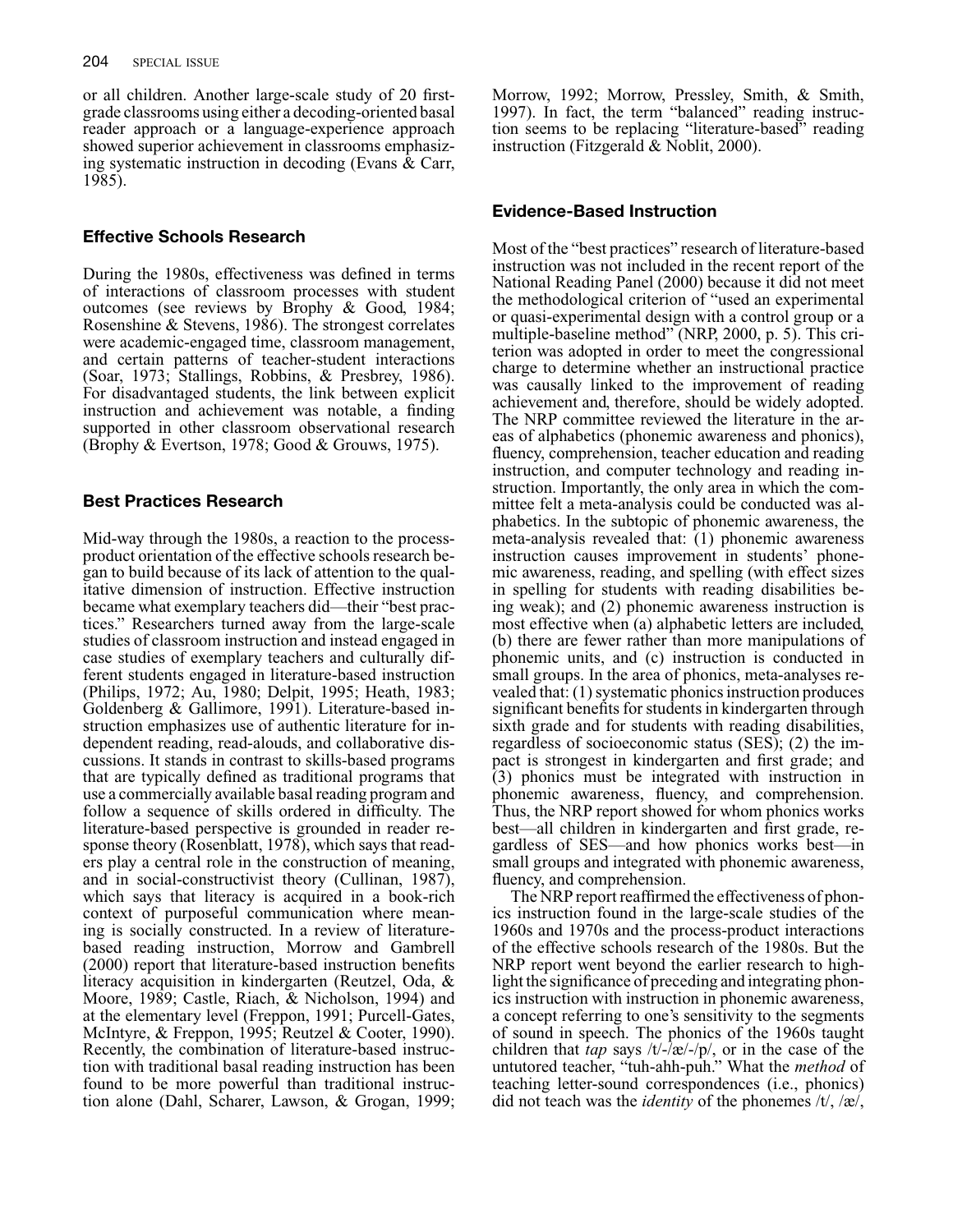or all children. Another large-scale study of 20 firstgrade classrooms using either a decoding-oriented basal reader approach or a language-experience approach showed superior achievement in classrooms emphasizing systematic instruction in decoding (Evans & Carr, 1985).

#### **Effective Schools Research**

During the 1980s, effectiveness was defined in terms of interactions of classroom processes with student outcomes (see reviews by Brophy & Good, 1984; Rosenshine & Stevens, 1986). The strongest correlates were academic-engaged time, classroom management, and certain patterns of teacher-student interactions (Soar, 1973; Stallings, Robbins, & Presbrey, 1986). For disadvantaged students, the link between explicit instruction and achievement was notable, a finding supported in other classroom observational research (Brophy & Evertson, 1978; Good & Grouws, 1975).

#### **Best Practices Research**

Mid-way through the 1980s, a reaction to the processproduct orientation of the effective schools research began to build because of its lack of attention to the qualitative dimension of instruction. Effective instruction became what exemplary teachers did—their "best practices." Researchers turned away from the large-scale studies of classroom instruction and instead engaged in case studies of exemplary teachers and culturally different students engaged in literature-based instruction (Philips, 1972; Au, 1980; Delpit, 1995; Heath, 1983; Goldenberg & Gallimore, 1991). Literature-based instruction emphasizes use of authentic literature for independent reading, read-alouds, and collaborative discussions. It stands in contrast to skills-based programs that are typically defined as traditional programs that use a commercially available basal reading program and follow a sequence of skills ordered in difficulty. The literature-based perspective is grounded in reader response theory (Rosenblatt, 1978), which says that readers play a central role in the construction of meaning, and in social-constructivist theory (Cullinan, 1987), which says that literacy is acquired in a book-rich context of purposeful communication where meaning is socially constructed. In a review of literaturebased reading instruction, Morrow and Gambrell (2000) report that literature-based instruction benefits literacy acquisition in kindergarten (Reutzel, Oda, & Moore, 1989; Castle, Riach, & Nicholson, 1994) and at the elementary level (Freppon, 1991; Purcell-Gates, McIntyre, & Freppon, 1995; Reutzel & Cooter, 1990). Recently, the combination of literature-based instruction with traditional basal reading instruction has been found to be more powerful than traditional instruction alone (Dahl, Scharer, Lawson, & Grogan, 1999; Morrow, 1992; Morrow, Pressley, Smith, & Smith, 1997). In fact, the term "balanced" reading instruction seems to be replacing "literature-based" reading instruction (Fitzgerald & Noblit, 2000).

#### **Evidence-Based Instruction**

Most of the "best practices" research of literature-based instruction was not included in the recent report of the National Reading Panel (2000) because it did not meet the methodological criterion of "used an experimental or quasi-experimental design with a control group or a multiple-baseline method" (NRP, 2000, p. 5). This criterion was adopted in order to meet the congressional charge to determine whether an instructional practice was causally linked to the improvement of reading achievement and, therefore, should be widely adopted. The NRP committee reviewed the literature in the areas of alphabetics (phonemic awareness and phonics), fluency, comprehension, teacher education and reading instruction, and computer technology and reading instruction. Importantly, the only area in which the committee felt a meta-analysis could be conducted was alphabetics. In the subtopic of phonemic awareness, the meta-analysis revealed that: (1) phonemic awareness instruction causes improvement in students' phonemic awareness, reading, and spelling (with effect sizes in spelling for students with reading disabilities being weak); and (2) phonemic awareness instruction is most effective when (a) alphabetic letters are included, (b) there are fewer rather than more manipulations of phonemic units, and (c) instruction is conducted in small groups. In the area of phonics, meta-analyses revealed that: (1) systematic phonics instruction produces significant benefits for students in kindergarten through sixth grade and for students with reading disabilities, regardless of socioeconomic status (SES); (2) the impact is strongest in kindergarten and first grade; and (3) phonics must be integrated with instruction in phonemic awareness, fluency, and comprehension. Thus, the NRP report showed for whom phonics works best—all children in kindergarten and first grade, regardless of SES—and how phonics works best—in small groups and integrated with phonemic awareness, fluency, and comprehension.

The NRP report reaffirmed the effectiveness of phonics instruction found in the large-scale studies of the 1960s and 1970s and the process-product interactions of the effective schools research of the 1980s. But the NRP report went beyond the earlier research to highlight the significance of preceding and integrating phonics instruction with instruction in phonemic awareness, a concept referring to one's sensitivity to the segments of sound in speech. The phonics of the 1960s taught children that *tap* says /t/-/æ/-/p/, or in the case of the untutored teacher, "tuh-ahh-puh." What the *method* of teaching letter-sound correspondences (i.e., phonics) did not teach was the *identity* of the phonemes /t/, /æ/,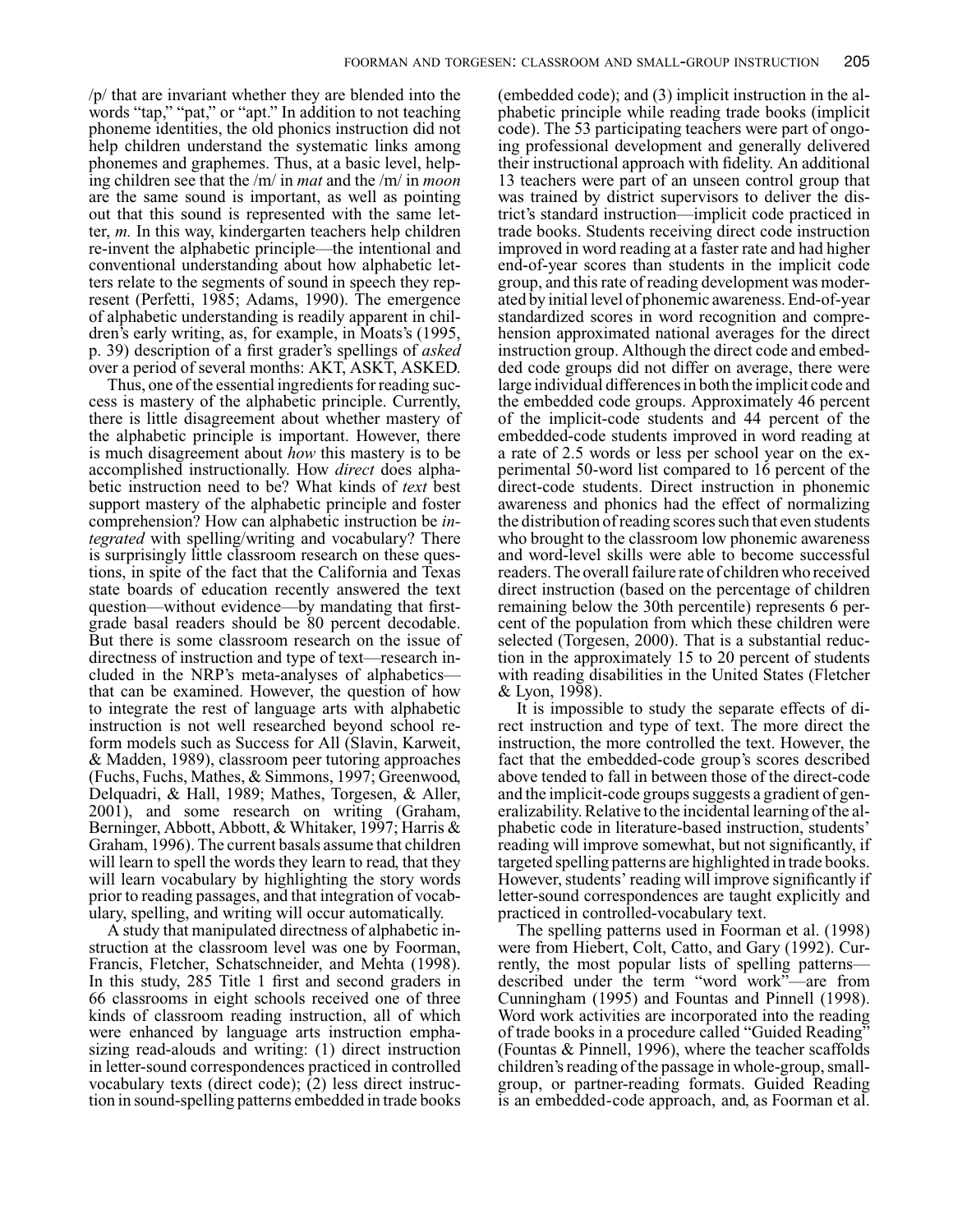/p/ that are invariant whether they are blended into the words "tap," "pat," or "apt." In addition to not teaching phoneme identities, the old phonics instruction did not help children understand the systematic links among phonemes and graphemes. Thus, at a basic level, helping children see that the /m/ in *mat* and the /m/ in *moon* are the same sound is important, as well as pointing out that this sound is represented with the same letter, *m.* In this way, kindergarten teachers help children re-invent the alphabetic principle—the intentional and conventional understanding about how alphabetic letters relate to the segments of sound in speech they represent (Perfetti, 1985; Adams, 1990). The emergence of alphabetic understanding is readily apparent in children's early writing, as, for example, in Moats's (1995, p. 39) description of a first grader's spellings of *asked* over a period of several months: AKT, ASKT, ASKED.

Thus, one of the essential ingredients for reading success is mastery of the alphabetic principle. Currently, there is little disagreement about whether mastery of the alphabetic principle is important. However, there is much disagreement about *how* this mastery is to be accomplished instructionally. How *direct* does alphabetic instruction need to be? What kinds of *text* best support mastery of the alphabetic principle and foster comprehension? How can alphabetic instruction be *integrated* with spelling/writing and vocabulary? There is surprisingly little classroom research on these questions, in spite of the fact that the California and Texas state boards of education recently answered the text question—without evidence—by mandating that firstgrade basal readers should be 80 percent decodable. But there is some classroom research on the issue of directness of instruction and type of text—research included in the NRP's meta-analyses of alphabetics that can be examined. However, the question of how to integrate the rest of language arts with alphabetic instruction is not well researched beyond school reform models such as Success for All (Slavin, Karweit, & Madden, 1989), classroom peer tutoring approaches (Fuchs, Fuchs, Mathes, & Simmons, 1997; Greenwood, Delquadri, & Hall, 1989; Mathes, Torgesen, & Aller, 2001), and some research on writing (Graham, Berninger, Abbott, Abbott, & Whitaker, 1997; Harris & Graham, 1996). The current basals assume that children will learn to spell the words they learn to read, that they will learn vocabulary by highlighting the story words prior to reading passages, and that integration of vocabulary, spelling, and writing will occur automatically.

A study that manipulated directness of alphabetic instruction at the classroom level was one by Foorman, Francis, Fletcher, Schatschneider, and Mehta (1998). In this study, 285 Title 1 first and second graders in 66 classrooms in eight schools received one of three kinds of classroom reading instruction, all of which were enhanced by language arts instruction emphasizing read-alouds and writing: (1) direct instruction in letter-sound correspondences practiced in controlled vocabulary texts (direct code); (2) less direct instruction in sound-spelling patterns embedded in trade books

(embedded code); and (3) implicit instruction in the alphabetic principle while reading trade books (implicit code). The 53 participating teachers were part of ongoing professional development and generally delivered their instructional approach with fidelity. An additional 13 teachers were part of an unseen control group that was trained by district supervisors to deliver the district's standard instruction—implicit code practiced in trade books. Students receiving direct code instruction improved in word reading at a faster rate and had higher end-of-year scores than students in the implicit code group, and this rate of reading development was moderated by initial level of phonemic awareness. End-of-year standardized scores in word recognition and comprehension approximated national averages for the direct instruction group. Although the direct code and embedded code groups did not differ on average, there were large individual differences in both the implicit code and the embedded code groups. Approximately 46 percent of the implicit-code students and 44 percent of the embedded-code students improved in word reading at a rate of 2.5 words or less per school year on the experimental 50-word list compared to 16 percent of the direct-code students. Direct instruction in phonemic awareness and phonics had the effect of normalizing the distribution of reading scores such that even students who brought to the classroom low phonemic awareness and word-level skills were able to become successful readers. The overall failure rate of children who received direct instruction (based on the percentage of children remaining below the 30th percentile) represents 6 percent of the population from which these children were selected (Torgesen, 2000). That is a substantial reduction in the approximately 15 to 20 percent of students with reading disabilities in the United States (Fletcher & Lyon, 1998).

It is impossible to study the separate effects of direct instruction and type of text. The more direct the instruction, the more controlled the text. However, the fact that the embedded-code group's scores described above tended to fall in between those of the direct-code and the implicit-code groups suggests a gradient of generalizability. Relative to the incidental learning of the alphabetic code in literature-based instruction, students' reading will improve somewhat, but not significantly, if targeted spelling patterns are highlighted in trade books. However, students' reading will improve significantly if letter-sound correspondences are taught explicitly and practiced in controlled-vocabulary text.

The spelling patterns used in Foorman et al. (1998) were from Hiebert, Colt, Catto, and Gary (1992). Currently, the most popular lists of spelling patterns described under the term "word work"—are from Cunningham (1995) and Fountas and Pinnell (1998). Word work activities are incorporated into the reading of trade books in a procedure called "Guided Reading" (Fountas & Pinnell, 1996), where the teacher scaffolds children's reading of the passage in whole-group, smallgroup, or partner-reading formats. Guided Reading is an embedded-code approach, and, as Foorman et al.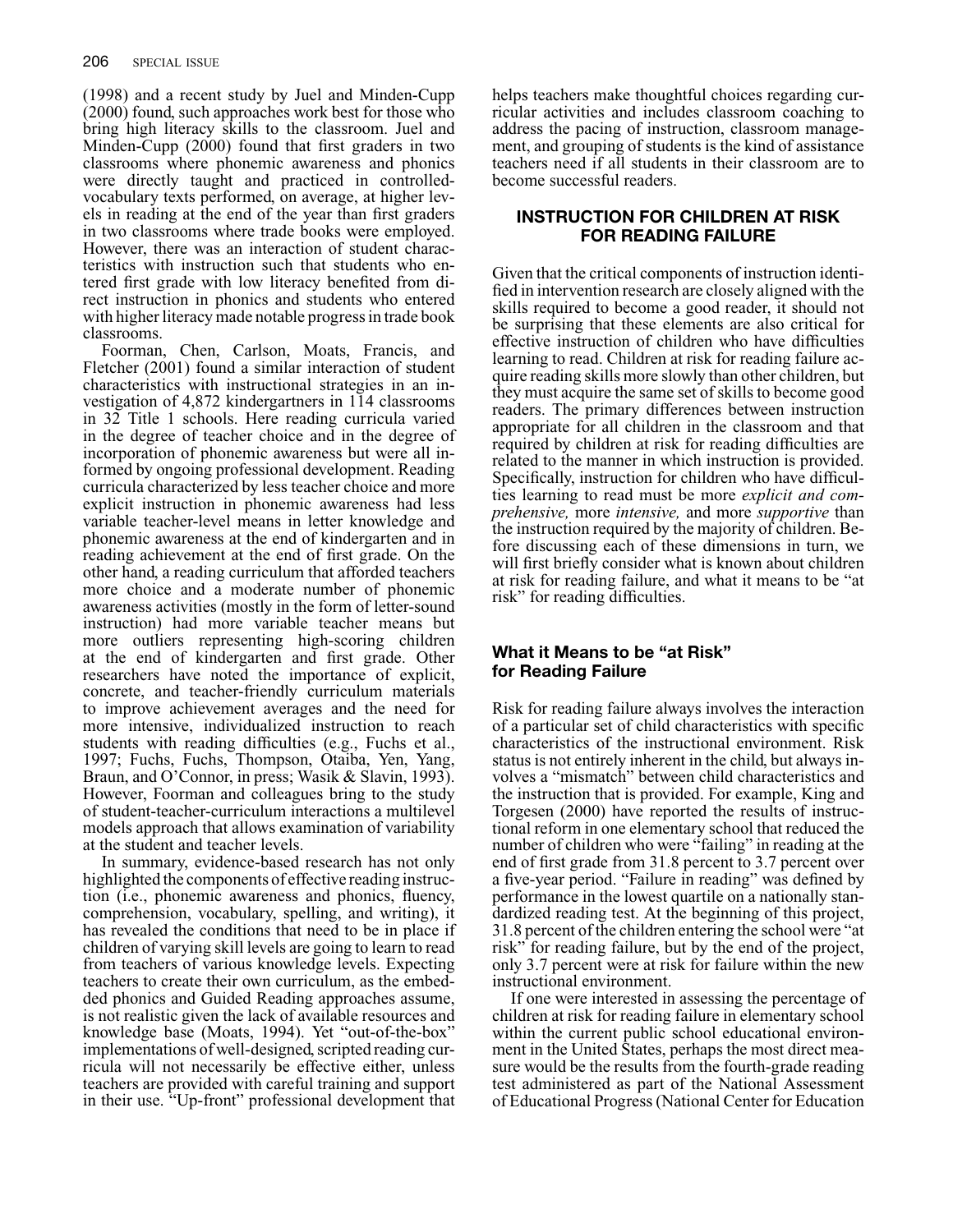(1998) and a recent study by Juel and Minden-Cupp (2000) found, such approaches work best for those who bring high literacy skills to the classroom. Juel and Minden-Cupp (2000) found that first graders in two classrooms where phonemic awareness and phonics were directly taught and practiced in controlledvocabulary texts performed, on average, at higher levels in reading at the end of the year than first graders in two classrooms where trade books were employed. However, there was an interaction of student characteristics with instruction such that students who entered first grade with low literacy benefited from direct instruction in phonics and students who entered with higher literacy made notable progress in trade book classrooms.

Foorman, Chen, Carlson, Moats, Francis, and Fletcher (2001) found a similar interaction of student characteristics with instructional strategies in an investigation of 4,872 kindergartners in 114 classrooms in 32 Title 1 schools. Here reading curricula varied in the degree of teacher choice and in the degree of incorporation of phonemic awareness but were all informed by ongoing professional development. Reading curricula characterized by less teacher choice and more explicit instruction in phonemic awareness had less variable teacher-level means in letter knowledge and phonemic awareness at the end of kindergarten and in reading achievement at the end of first grade. On the other hand, a reading curriculum that afforded teachers more choice and a moderate number of phonemic awareness activities (mostly in the form of letter-sound instruction) had more variable teacher means but more outliers representing high-scoring children at the end of kindergarten and first grade. Other researchers have noted the importance of explicit, concrete, and teacher-friendly curriculum materials to improve achievement averages and the need for more intensive, individualized instruction to reach students with reading difficulties (e.g., Fuchs et al., 1997; Fuchs, Fuchs, Thompson, Otaiba, Yen, Yang, Braun, and O'Connor, in press; Wasik & Slavin, 1993). However, Foorman and colleagues bring to the study of student-teacher-curriculum interactions a multilevel models approach that allows examination of variability at the student and teacher levels.

In summary, evidence-based research has not only highlighted the components of effective reading instruction (i.e., phonemic awareness and phonics, fluency, comprehension, vocabulary, spelling, and writing), it has revealed the conditions that need to be in place if children of varying skill levels are going to learn to read from teachers of various knowledge levels. Expecting teachers to create their own curriculum, as the embedded phonics and Guided Reading approaches assume, is not realistic given the lack of available resources and knowledge base (Moats, 1994). Yet "out-of-the-box" implementations of well-designed, scripted reading curricula will not necessarily be effective either, unless teachers are provided with careful training and support in their use. "Up-front" professional development that helps teachers make thoughtful choices regarding curricular activities and includes classroom coaching to address the pacing of instruction, classroom management, and grouping of students is the kind of assistance teachers need if all students in their classroom are to become successful readers.

# **INSTRUCTION FOR CHILDREN AT RISK FOR READING FAILURE**

Given that the critical components of instruction identified in intervention research are closely aligned with the skills required to become a good reader, it should not be surprising that these elements are also critical for effective instruction of children who have difficulties learning to read. Children at risk for reading failure acquire reading skills more slowly than other children, but they must acquire the same set of skills to become good readers. The primary differences between instruction appropriate for all children in the classroom and that required by children at risk for reading difficulties are related to the manner in which instruction is provided. Specifically, instruction for children who have difficulties learning to read must be more *explicit and comprehensive,* more *intensive,* and more *supportive* than the instruction required by the majority of children. Before discussing each of these dimensions in turn, we will first briefly consider what is known about children at risk for reading failure, and what it means to be "at risk" for reading difficulties.

# **What it Means to be "at Risk" for Reading Failure**

Risk for reading failure always involves the interaction of a particular set of child characteristics with specific characteristics of the instructional environment. Risk status is not entirely inherent in the child, but always involves a "mismatch" between child characteristics and the instruction that is provided. For example, King and Torgesen (2000) have reported the results of instructional reform in one elementary school that reduced the number of children who were "failing" in reading at the end of first grade from 31.8 percent to 3.7 percent over a five-year period. "Failure in reading" was defined by performance in the lowest quartile on a nationally standardized reading test. At the beginning of this project, 31.8 percent of the children entering the school were "at risk" for reading failure, but by the end of the project, only 3.7 percent were at risk for failure within the new instructional environment.

If one were interested in assessing the percentage of children at risk for reading failure in elementary school within the current public school educational environment in the United States, perhaps the most direct measure would be the results from the fourth-grade reading test administered as part of the National Assessment of Educational Progress (National Center for Education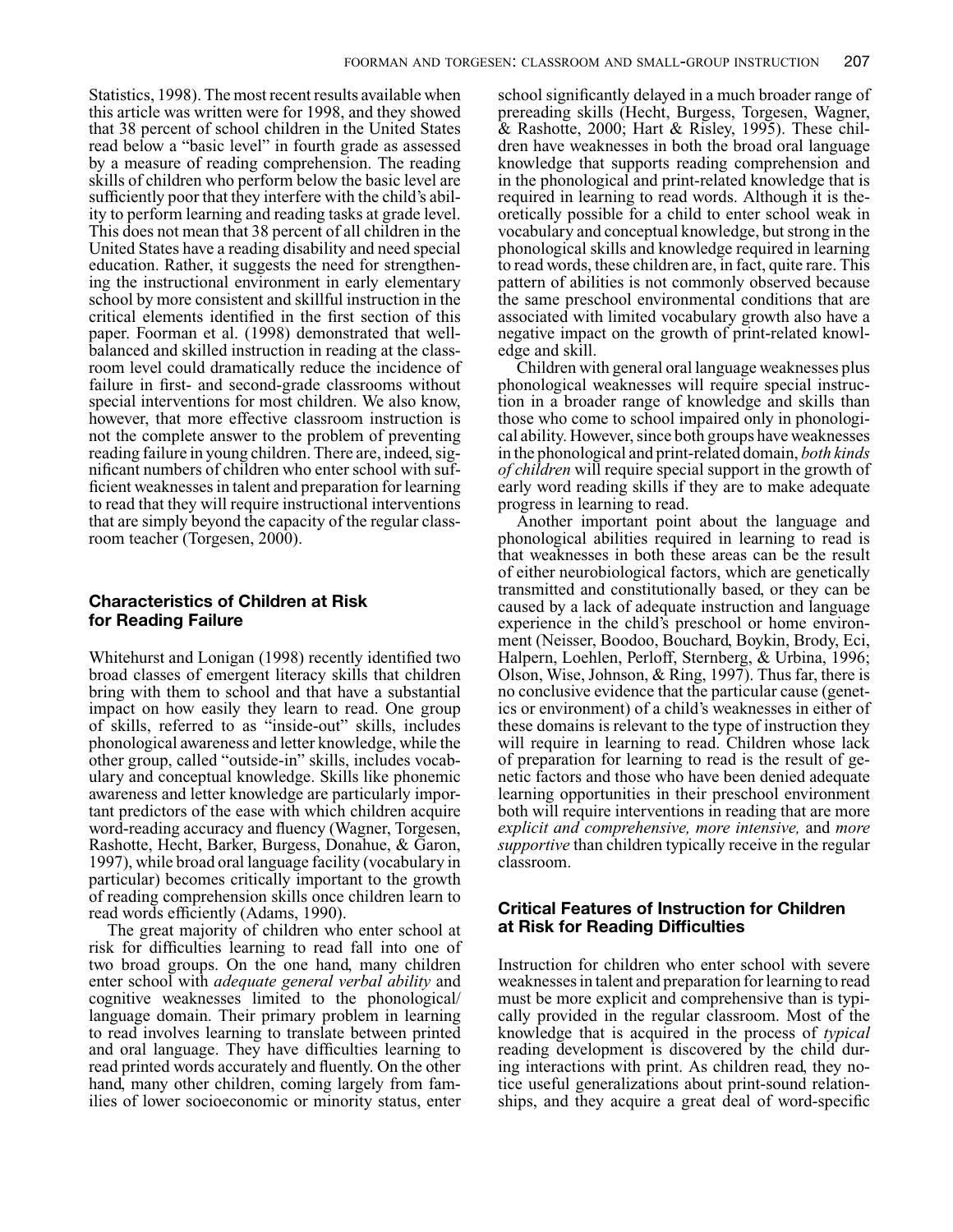Statistics, 1998). The most recent results available when this article was written were for 1998, and they showed that 38 percent of school children in the United States read below a "basic level" in fourth grade as assessed by a measure of reading comprehension. The reading skills of children who perform below the basic level are sufficiently poor that they interfere with the child's ability to perform learning and reading tasks at grade level. This does not mean that 38 percent of all children in the United States have a reading disability and need special education. Rather, it suggests the need for strengthening the instructional environment in early elementary school by more consistent and skillful instruction in the critical elements identified in the first section of this paper. Foorman et al. (1998) demonstrated that wellbalanced and skilled instruction in reading at the classroom level could dramatically reduce the incidence of failure in first- and second-grade classrooms without special interventions for most children. We also know, however, that more effective classroom instruction is not the complete answer to the problem of preventing reading failure in young children. There are, indeed, significant numbers of children who enter school with sufficient weaknesses in talent and preparation for learning to read that they will require instructional interventions that are simply beyond the capacity of the regular classroom teacher (Torgesen, 2000).

# **Characteristics of Children at Risk for Reading Failure**

Whitehurst and Lonigan (1998) recently identified two broad classes of emergent literacy skills that children bring with them to school and that have a substantial impact on how easily they learn to read. One group of skills, referred to as "inside-out" skills, includes phonological awareness and letter knowledge, while the other group, called "outside-in" skills, includes vocabulary and conceptual knowledge. Skills like phonemic awareness and letter knowledge are particularly important predictors of the ease with which children acquire word-reading accuracy and fluency (Wagner, Torgesen, Rashotte, Hecht, Barker, Burgess, Donahue, & Garon, 1997), while broad oral language facility (vocabulary in particular) becomes critically important to the growth of reading comprehension skills once children learn to read words efficiently (Adams, 1990).

The great majority of children who enter school at risk for difficulties learning to read fall into one of two broad groups. On the one hand, many children enter school with *adequate general verbal ability* and cognitive weaknesses limited to the phonological/ language domain. Their primary problem in learning to read involves learning to translate between printed and oral language. They have difficulties learning to read printed words accurately and fluently. On the other hand, many other children, coming largely from families of lower socioeconomic or minority status, enter

school significantly delayed in a much broader range of prereading skills (Hecht, Burgess, Torgesen, Wagner, & Rashotte, 2000; Hart & Risley, 1995). These children have weaknesses in both the broad oral language knowledge that supports reading comprehension and in the phonological and print-related knowledge that is required in learning to read words. Although it is theoretically possible for a child to enter school weak in vocabulary and conceptual knowledge, but strong in the phonological skills and knowledge required in learning to read words, these children are, in fact, quite rare. This pattern of abilities is not commonly observed because the same preschool environmental conditions that are associated with limited vocabulary growth also have a negative impact on the growth of print-related knowledge and skill.

Children with general oral language weaknesses plus phonological weaknesses will require special instruction in a broader range of knowledge and skills than those who come to school impaired only in phonological ability. However, since both groups have weaknesses in the phonological and print-related domain, *both kinds of children* will require special support in the growth of early word reading skills if they are to make adequate progress in learning to read.

Another important point about the language and phonological abilities required in learning to read is that weaknesses in both these areas can be the result of either neurobiological factors, which are genetically transmitted and constitutionally based, or they can be caused by a lack of adequate instruction and language experience in the child's preschool or home environment (Neisser, Boodoo, Bouchard, Boykin, Brody, Eci, Halpern, Loehlen, Perloff, Sternberg, & Urbina, 1996; Olson, Wise, Johnson, & Ring, 1997). Thus far, there is no conclusive evidence that the particular cause (genetics or environment) of a child's weaknesses in either of these domains is relevant to the type of instruction they will require in learning to read. Children whose lack of preparation for learning to read is the result of genetic factors and those who have been denied adequate learning opportunities in their preschool environment both will require interventions in reading that are more *explicit and comprehensive, more intensive,* and *more supportive* than children typically receive in the regular classroom.

### **Critical Features of Instruction for Children at Risk for Reading Difficulties**

Instruction for children who enter school with severe weaknesses in talent and preparation for learning to read must be more explicit and comprehensive than is typically provided in the regular classroom. Most of the knowledge that is acquired in the process of *typical* reading development is discovered by the child during interactions with print. As children read, they notice useful generalizations about print-sound relationships, and they acquire a great deal of word-specific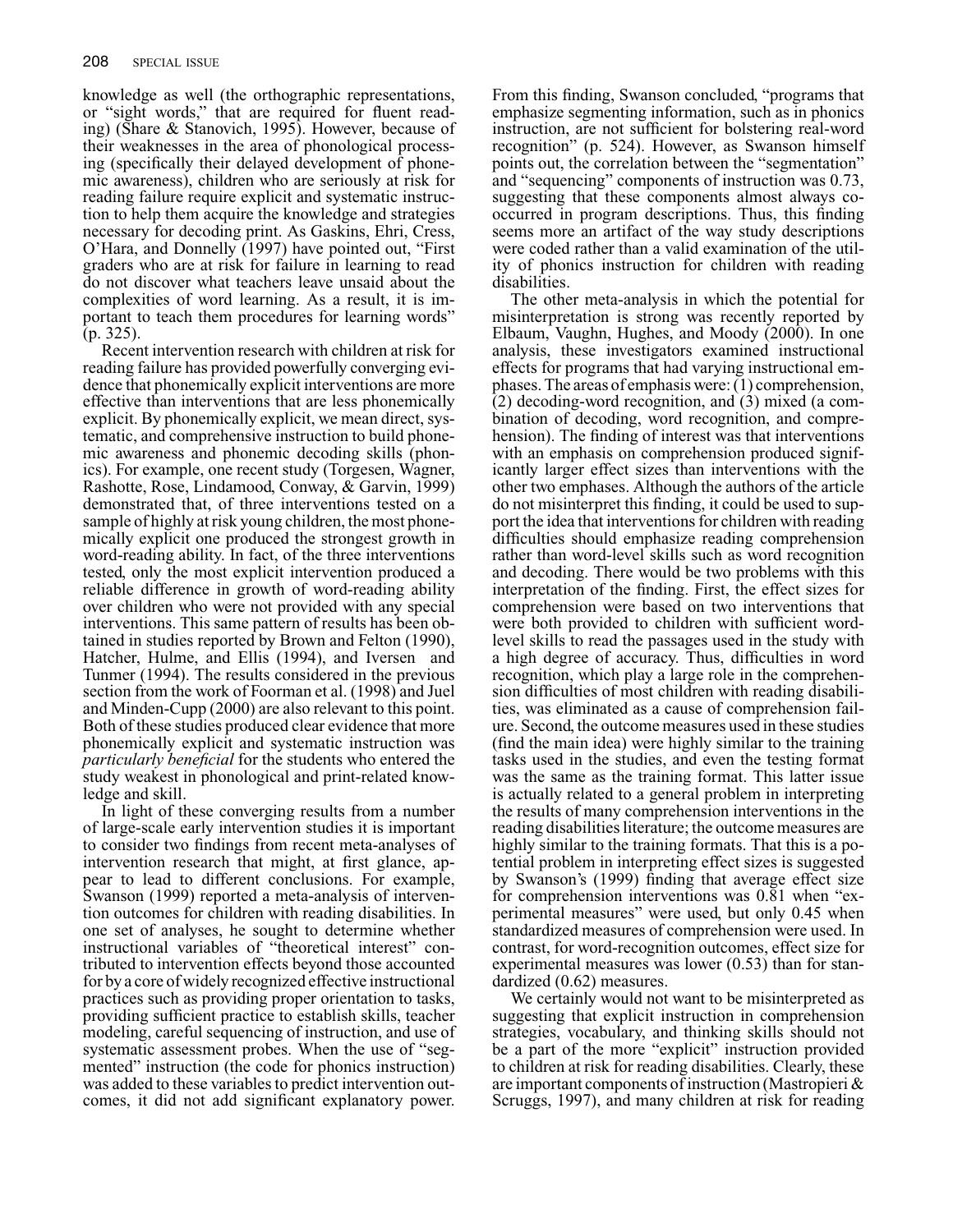knowledge as well (the orthographic representations, or "sight words," that are required for fluent reading) (Share & Stanovich, 1995). However, because of their weaknesses in the area of phonological processing (specifically their delayed development of phonemic awareness), children who are seriously at risk for reading failure require explicit and systematic instruction to help them acquire the knowledge and strategies necessary for decoding print. As Gaskins, Ehri, Cress, O'Hara, and Donnelly (1997) have pointed out, "First graders who are at risk for failure in learning to read do not discover what teachers leave unsaid about the complexities of word learning. As a result, it is important to teach them procedures for learning words" (p. 325).

Recent intervention research with children at risk for reading failure has provided powerfully converging evidence that phonemically explicit interventions are more effective than interventions that are less phonemically explicit. By phonemically explicit, we mean direct, systematic, and comprehensive instruction to build phonemic awareness and phonemic decoding skills (phonics). For example, one recent study (Torgesen, Wagner, Rashotte, Rose, Lindamood, Conway, & Garvin, 1999) demonstrated that, of three interventions tested on a sample of highly at risk young children, the most phonemically explicit one produced the strongest growth in word-reading ability. In fact, of the three interventions tested, only the most explicit intervention produced a reliable difference in growth of word-reading ability over children who were not provided with any special interventions. This same pattern of results has been obtained in studies reported by Brown and Felton (1990), Hatcher, Hulme, and Ellis (1994), and Iversen and Tunmer (1994). The results considered in the previous section from the work of Foorman et al. (1998) and Juel and Minden-Cupp (2000) are also relevant to this point. Both of these studies produced clear evidence that more phonemically explicit and systematic instruction was *particularly beneficial* for the students who entered the study weakest in phonological and print-related knowledge and skill.

In light of these converging results from a number of large-scale early intervention studies it is important to consider two findings from recent meta-analyses of intervention research that might, at first glance, appear to lead to different conclusions. For example, Swanson (1999) reported a meta-analysis of intervention outcomes for children with reading disabilities. In one set of analyses, he sought to determine whether instructional variables of "theoretical interest" contributed to intervention effects beyond those accounted for by a core of widely recognized effective instructional practices such as providing proper orientation to tasks, providing sufficient practice to establish skills, teacher modeling, careful sequencing of instruction, and use of systematic assessment probes. When the use of "segmented" instruction (the code for phonics instruction) was added to these variables to predict intervention outcomes, it did not add significant explanatory power.

From this finding, Swanson concluded, "programs that emphasize segmenting information, such as in phonics instruction, are not sufficient for bolstering real-word recognition" (p. 524). However, as Swanson himself points out, the correlation between the "segmentation" and "sequencing" components of instruction was 0.73, suggesting that these components almost always cooccurred in program descriptions. Thus, this finding seems more an artifact of the way study descriptions were coded rather than a valid examination of the utility of phonics instruction for children with reading disabilities.

The other meta-analysis in which the potential for misinterpretation is strong was recently reported by Elbaum, Vaughn, Hughes, and Moody (2000). In one analysis, these investigators examined instructional effects for programs that had varying instructional emphases. The areas of emphasis were: (1) comprehension, (2) decoding-word recognition, and (3) mixed (a combination of decoding, word recognition, and comprehension). The finding of interest was that interventions with an emphasis on comprehension produced significantly larger effect sizes than interventions with the other two emphases. Although the authors of the article do not misinterpret this finding, it could be used to support the idea that interventions for children with reading difficulties should emphasize reading comprehension rather than word-level skills such as word recognition and decoding. There would be two problems with this interpretation of the finding. First, the effect sizes for comprehension were based on two interventions that were both provided to children with sufficient wordlevel skills to read the passages used in the study with a high degree of accuracy. Thus, difficulties in word recognition, which play a large role in the comprehension difficulties of most children with reading disabilities, was eliminated as a cause of comprehension failure. Second, the outcome measures used in these studies (find the main idea) were highly similar to the training tasks used in the studies, and even the testing format was the same as the training format. This latter issue is actually related to a general problem in interpreting the results of many comprehension interventions in the reading disabilities literature; the outcome measures are highly similar to the training formats. That this is a potential problem in interpreting effect sizes is suggested by Swanson's (1999) finding that average effect size for comprehension interventions was 0.81 when "experimental measures" were used, but only 0.45 when standardized measures of comprehension were used. In contrast, for word-recognition outcomes, effect size for experimental measures was lower (0.53) than for standardized (0.62) measures.

We certainly would not want to be misinterpreted as suggesting that explicit instruction in comprehension strategies, vocabulary, and thinking skills should not be a part of the more "explicit" instruction provided to children at risk for reading disabilities. Clearly, these are important components of instruction (Mastropieri & Scruggs, 1997), and many children at risk for reading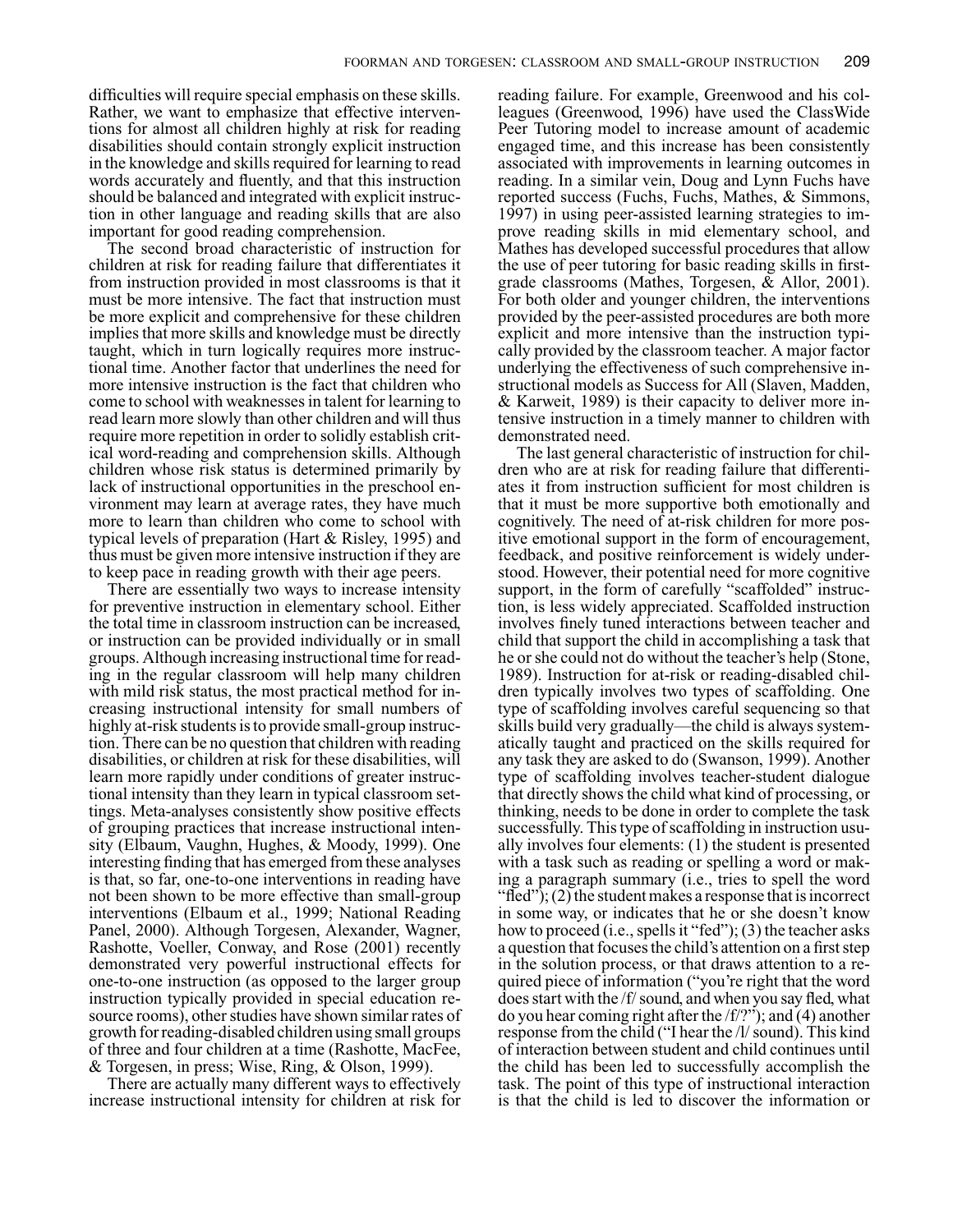difficulties will require special emphasis on these skills. Rather, we want to emphasize that effective interventions for almost all children highly at risk for reading disabilities should contain strongly explicit instruction in the knowledge and skills required for learning to read words accurately and fluently, and that this instruction should be balanced and integrated with explicit instruction in other language and reading skills that are also important for good reading comprehension.

The second broad characteristic of instruction for children at risk for reading failure that differentiates it from instruction provided in most classrooms is that it must be more intensive. The fact that instruction must be more explicit and comprehensive for these children implies that more skills and knowledge must be directly taught, which in turn logically requires more instructional time. Another factor that underlines the need for more intensive instruction is the fact that children who come to school with weaknesses in talent for learning to read learn more slowly than other children and will thus require more repetition in order to solidly establish critical word-reading and comprehension skills. Although children whose risk status is determined primarily by lack of instructional opportunities in the preschool environment may learn at average rates, they have much more to learn than children who come to school with typical levels of preparation (Hart & Risley, 1995) and thus must be given more intensive instruction if they are to keep pace in reading growth with their age peers.

There are essentially two ways to increase intensity for preventive instruction in elementary school. Either the total time in classroom instruction can be increased, or instruction can be provided individually or in small groups. Although increasing instructional time for reading in the regular classroom will help many children with mild risk status, the most practical method for increasing instructional intensity for small numbers of highly at-risk students is to provide small-group instruction. There can be no question that children with reading disabilities, or children at risk for these disabilities, will learn more rapidly under conditions of greater instructional intensity than they learn in typical classroom settings. Meta-analyses consistently show positive effects of grouping practices that increase instructional intensity (Elbaum, Vaughn, Hughes, & Moody, 1999). One interesting finding that has emerged from these analyses is that, so far, one-to-one interventions in reading have not been shown to be more effective than small-group interventions (Elbaum et al., 1999; National Reading Panel, 2000). Although Torgesen, Alexander, Wagner, Rashotte, Voeller, Conway, and Rose (2001) recently demonstrated very powerful instructional effects for one-to-one instruction (as opposed to the larger group instruction typically provided in special education resource rooms), other studies have shown similar rates of growth for reading-disabled children using small groups of three and four children at a time (Rashotte, MacFee, & Torgesen, in press; Wise, Ring, & Olson, 1999).

There are actually many different ways to effectively increase instructional intensity for children at risk for reading failure. For example, Greenwood and his colleagues (Greenwood, 1996) have used the ClassWide Peer Tutoring model to increase amount of academic engaged time, and this increase has been consistently associated with improvements in learning outcomes in reading. In a similar vein, Doug and Lynn Fuchs have reported success (Fuchs, Fuchs, Mathes, & Simmons, 1997) in using peer-assisted learning strategies to improve reading skills in mid elementary school, and Mathes has developed successful procedures that allow the use of peer tutoring for basic reading skills in firstgrade classrooms (Mathes, Torgesen, & Allor, 2001). For both older and younger children, the interventions provided by the peer-assisted procedures are both more explicit and more intensive than the instruction typically provided by the classroom teacher. A major factor underlying the effectiveness of such comprehensive instructional models as Success for All (Slaven, Madden, & Karweit, 1989) is their capacity to deliver more intensive instruction in a timely manner to children with demonstrated need.

The last general characteristic of instruction for children who are at risk for reading failure that differentiates it from instruction sufficient for most children is that it must be more supportive both emotionally and cognitively. The need of at-risk children for more positive emotional support in the form of encouragement, feedback, and positive reinforcement is widely understood. However, their potential need for more cognitive support, in the form of carefully "scaffolded" instruction, is less widely appreciated. Scaffolded instruction involves finely tuned interactions between teacher and child that support the child in accomplishing a task that he or she could not do without the teacher's help (Stone, 1989). Instruction for at-risk or reading-disabled children typically involves two types of scaffolding. One type of scaffolding involves careful sequencing so that skills build very gradually—the child is always systematically taught and practiced on the skills required for any task they are asked to do (Swanson, 1999). Another type of scaffolding involves teacher-student dialogue that directly shows the child what kind of processing, or thinking, needs to be done in order to complete the task successfully. This type of scaffolding in instruction usually involves four elements: (1) the student is presented with a task such as reading or spelling a word or making a paragraph summary (i.e., tries to spell the word "fled");  $(2)$  the student makes a response that is incorrect in some way, or indicates that he or she doesn't know how to proceed (i.e., spells it "fed"); (3) the teacher asks a question that focuses the child's attention on a first step in the solution process, or that draws attention to a required piece of information ("you're right that the word does start with the /f/ sound, and when you say fled, what do you hear coming right after the /f/?"); and (4) another response from the child ("I hear the /l/ sound). This kind of interaction between student and child continues until the child has been led to successfully accomplish the task. The point of this type of instructional interaction is that the child is led to discover the information or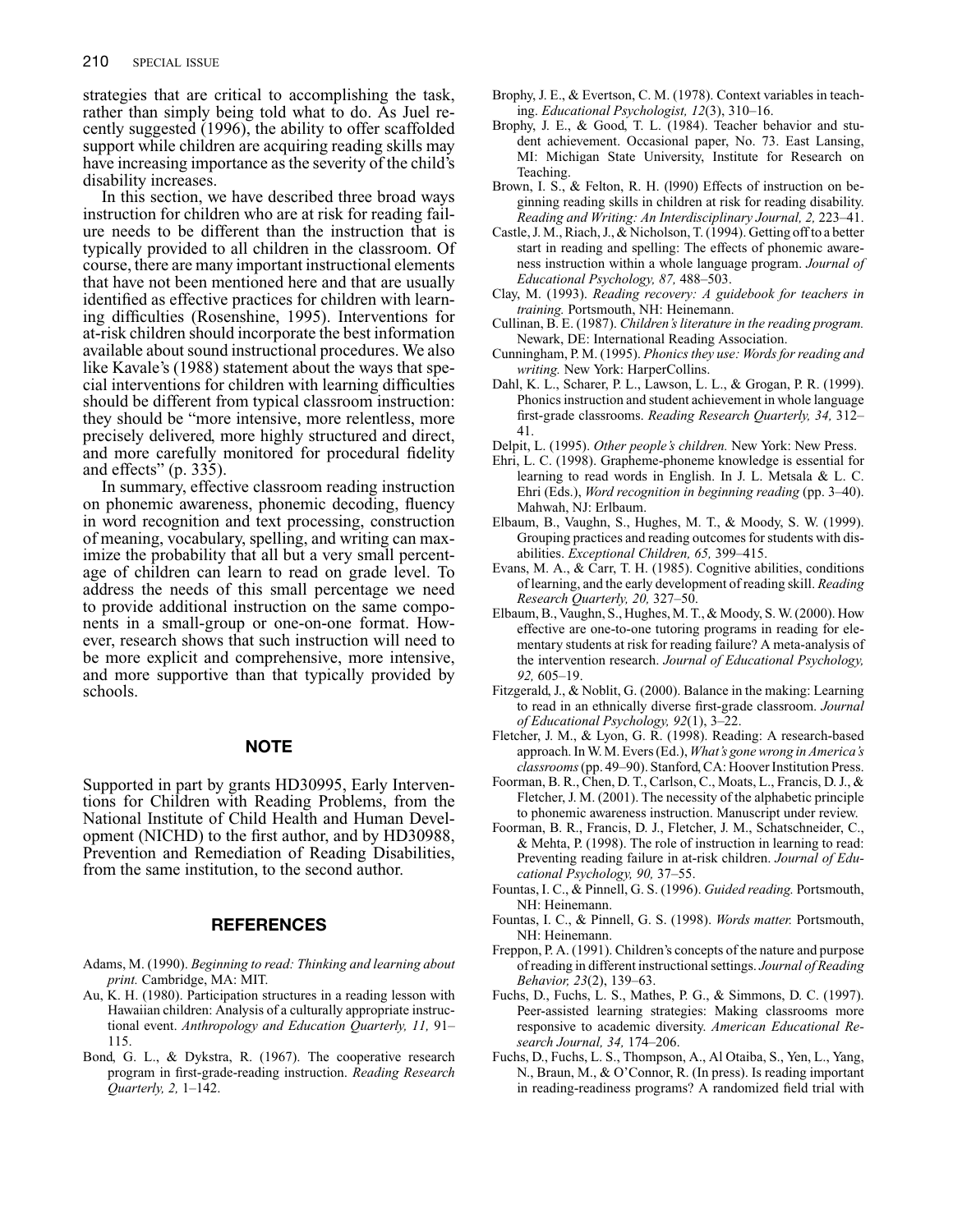strategies that are critical to accomplishing the task, rather than simply being told what to do. As Juel recently suggested (1996), the ability to offer scaffolded support while children are acquiring reading skills may have increasing importance as the severity of the child's disability increases.

In this section, we have described three broad ways instruction for children who are at risk for reading failure needs to be different than the instruction that is typically provided to all children in the classroom. Of course, there are many important instructional elements that have not been mentioned here and that are usually identified as effective practices for children with learning difficulties (Rosenshine, 1995). Interventions for at-risk children should incorporate the best information available about sound instructional procedures. We also like Kavale's (1988) statement about the ways that special interventions for children with learning difficulties should be different from typical classroom instruction: they should be "more intensive, more relentless, more precisely delivered, more highly structured and direct, and more carefully monitored for procedural fidelity and effects" (p. 335).

In summary, effective classroom reading instruction on phonemic awareness, phonemic decoding, fluency in word recognition and text processing, construction of meaning, vocabulary, spelling, and writing can maximize the probability that all but a very small percentage of children can learn to read on grade level. To address the needs of this small percentage we need to provide additional instruction on the same components in a small-group or one-on-one format. However, research shows that such instruction will need to be more explicit and comprehensive, more intensive, and more supportive than that typically provided by schools.

#### **NOTE**

Supported in part by grants HD30995, Early Interventions for Children with Reading Problems, from the National Institute of Child Health and Human Development (NICHD) to the first author, and by HD30988, Prevention and Remediation of Reading Disabilities, from the same institution, to the second author.

### **REFERENCES**

- Adams, M. (1990). *Beginning to read: Thinking and learning about print.* Cambridge, MA: MIT.
- Au, K. H. (1980). Participation structures in a reading lesson with Hawaiian children: Analysis of a culturally appropriate instructional event. *Anthropology and Education Quarterly, 11,* 91– 115.
- Bond, G. L., & Dykstra, R. (1967). The cooperative research program in first-grade-reading instruction. *Reading Research Quarterly, 2,* 1–142.
- Brophy, J. E., & Evertson, C. M. (1978). Context variables in teaching. *Educational Psychologist, 12*(3), 310–16.
- Brophy, J. E., & Good, T. L. (1984). Teacher behavior and student achievement. Occasional paper, No. 73. East Lansing, MI: Michigan State University, Institute for Research on Teaching.
- Brown, I. S., & Felton, R. H. (l990) Effects of instruction on beginning reading skills in children at risk for reading disability. *Reading and Writing: An Interdisciplinary Journal, 2,* 223–41.
- Castle, J. M., Riach, J., & Nicholson, T. (1994). Getting off to a better start in reading and spelling: The effects of phonemic awareness instruction within a whole language program. *Journal of Educational Psychology, 87,* 488–503.
- Clay, M. (1993). *Reading recovery: A guidebook for teachers in training.* Portsmouth, NH: Heinemann.
- Cullinan, B. E. (1987). *Children's literature in the reading program.* Newark, DE: International Reading Association.
- Cunningham, P. M. (1995). *Phonics they use: Words for reading and writing.* New York: HarperCollins.
- Dahl, K. L., Scharer, P. L., Lawson, L. L., & Grogan, P. R. (1999). Phonics instruction and student achievement in whole language first-grade classrooms. *Reading Research Quarterly, 34,* 312– 41.
- Delpit, L. (1995). *Other people's children.* New York: New Press.
- Ehri, L. C. (1998). Grapheme-phoneme knowledge is essential for learning to read words in English. In J. L. Metsala & L. C. Ehri (Eds.), *Word recognition in beginning reading* (pp. 3–40). Mahwah, NJ: Erlbaum.
- Elbaum, B., Vaughn, S., Hughes, M. T., & Moody, S. W. (1999). Grouping practices and reading outcomes for students with disabilities. *Exceptional Children, 65,* 399–415.
- Evans, M. A., & Carr, T. H. (1985). Cognitive abilities, conditions of learning, and the early development of reading skill. *Reading Research Quarterly, 20,* 327–50.
- Elbaum, B., Vaughn, S., Hughes, M. T., & Moody, S. W. (2000). How effective are one-to-one tutoring programs in reading for elementary students at risk for reading failure? A meta-analysis of the intervention research. *Journal of Educational Psychology, 92,* 605–19.
- Fitzgerald, J., & Noblit, G. (2000). Balance in the making: Learning to read in an ethnically diverse first-grade classroom. *Journal of Educational Psychology, 92*(1), 3–22.
- Fletcher, J. M., & Lyon, G. R. (1998). Reading: A research-based approach. In W. M. Evers (Ed.), *What's gone wrong in America's classrooms*(pp. 49–90). Stanford, CA: Hoover Institution Press.
- Foorman, B. R., Chen, D. T., Carlson, C., Moats, L., Francis, D. J., & Fletcher, J. M. (2001). The necessity of the alphabetic principle to phonemic awareness instruction. Manuscript under review.
- Foorman, B. R., Francis, D. J., Fletcher, J. M., Schatschneider, C., & Mehta, P. (1998). The role of instruction in learning to read: Preventing reading failure in at-risk children. *Journal of Educational Psychology, 90,* 37–55.
- Fountas, I. C., & Pinnell, G. S. (1996). *Guided reading.* Portsmouth, NH: Heinemann.
- Fountas, I. C., & Pinnell, G. S. (1998). *Words matter.* Portsmouth, NH: Heinemann.
- Freppon, P. A. (1991). Children's concepts of the nature and purpose of reading in different instructional settings. *Journal of Reading Behavior, 23*(2), 139–63.
- Fuchs, D., Fuchs, L. S., Mathes, P. G., & Simmons, D. C. (1997). Peer-assisted learning strategies: Making classrooms more responsive to academic diversity. *American Educational Research Journal, 34,* 174–206.
- Fuchs, D., Fuchs, L. S., Thompson, A., Al Otaiba, S., Yen, L., Yang, N., Braun, M., & O'Connor, R. (In press). Is reading important in reading-readiness programs? A randomized field trial with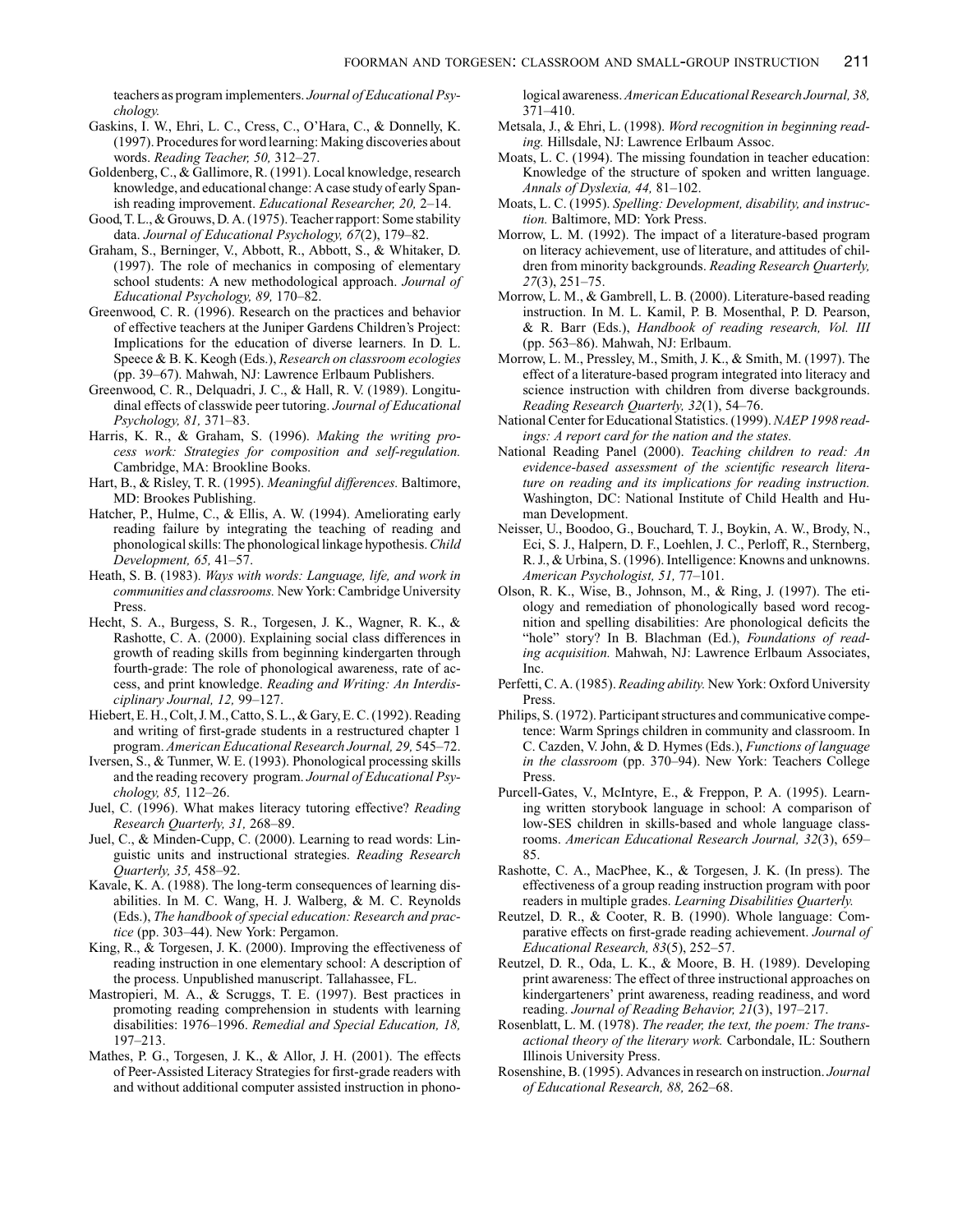teachers as program implementers. *Journal of Educational Psychology.*

- Gaskins, I. W., Ehri, L. C., Cress, C., O'Hara, C., & Donnelly, K. (1997). Procedures for word learning: Making discoveries about words. *Reading Teacher, 50,* 312–27.
- Goldenberg, C., & Gallimore, R. (1991). Local knowledge, research knowledge, and educational change: A case study of early Spanish reading improvement. *Educational Researcher, 20,* 2–14.
- Good, T. L., & Grouws, D. A. (1975). Teacher rapport: Some stability data. *Journal of Educational Psychology, 67*(2), 179–82.
- Graham, S., Berninger, V., Abbott, R., Abbott, S., & Whitaker, D. (1997). The role of mechanics in composing of elementary school students: A new methodological approach. *Journal of Educational Psychology, 89,* 170–82.
- Greenwood, C. R. (1996). Research on the practices and behavior of effective teachers at the Juniper Gardens Children's Project: Implications for the education of diverse learners. In D. L. Speece & B. K. Keogh (Eds.), *Research on classroom ecologies* (pp. 39–67). Mahwah, NJ: Lawrence Erlbaum Publishers.
- Greenwood, C. R., Delquadri, J. C., & Hall, R. V. (1989). Longitudinal effects of classwide peer tutoring. *Journal of Educational Psychology, 81,* 371–83.
- Harris, K. R., & Graham, S. (1996). *Making the writing process work: Strategies for composition and self-regulation.* Cambridge, MA: Brookline Books.
- Hart, B., & Risley, T. R. (1995). *Meaningful differences.* Baltimore, MD: Brookes Publishing.
- Hatcher, P., Hulme, C., & Ellis, A. W. (1994). Ameliorating early reading failure by integrating the teaching of reading and phonological skills: The phonological linkage hypothesis.*Child Development, 65,* 41–57.
- Heath, S. B. (1983). *Ways with words: Language, life, and work in communities and classrooms.* New York: Cambridge University Press.
- Hecht, S. A., Burgess, S. R., Torgesen, J. K., Wagner, R. K., & Rashotte, C. A. (2000). Explaining social class differences in growth of reading skills from beginning kindergarten through fourth-grade: The role of phonological awareness, rate of access, and print knowledge. *Reading and Writing: An Interdisciplinary Journal, 12,* 99–127.
- Hiebert, E. H., Colt, J. M., Catto, S. L., & Gary, E. C. (1992). Reading and writing of first-grade students in a restructured chapter 1 program. *American Educational Research Journal, 29,* 545–72.
- Iversen, S., & Tunmer, W. E. (1993). Phonological processing skills and the reading recovery program. *Journal of Educational Psychology, 85,* 112–26.
- Juel, C. (1996). What makes literacy tutoring effective? *Reading Research Quarterly, 31,* 268–89.
- Juel, C., & Minden-Cupp, C. (2000). Learning to read words: Linguistic units and instructional strategies. *Reading Research Quarterly, 35,* 458–92.
- Kavale, K. A. (1988). The long-term consequences of learning disabilities. In M. C. Wang, H. J. Walberg, & M. C. Reynolds (Eds.), *The handbook of special education: Research and practice* (pp. 303–44). New York: Pergamon.
- King, R., & Torgesen, J. K. (2000). Improving the effectiveness of reading instruction in one elementary school: A description of the process. Unpublished manuscript. Tallahassee, FL.
- Mastropieri, M. A., & Scruggs, T. E. (1997). Best practices in promoting reading comprehension in students with learning disabilities: 1976–1996. *Remedial and Special Education, 18,* 197–213.
- Mathes, P. G., Torgesen, J. K., & Allor, J. H. (2001). The effects of Peer-Assisted Literacy Strategies for first-grade readers with and without additional computer assisted instruction in phono-

logical awareness.*American Educational Research Journal, 38,* 371–410.

- Metsala, J., & Ehri, L. (1998). *Word recognition in beginning reading.* Hillsdale, NJ: Lawrence Erlbaum Assoc.
- Moats, L. C. (1994). The missing foundation in teacher education: Knowledge of the structure of spoken and written language. *Annals of Dyslexia, 44,* 81–102.
- Moats, L. C. (1995). *Spelling: Development, disability, and instruction.* Baltimore, MD: York Press.
- Morrow, L. M. (1992). The impact of a literature-based program on literacy achievement, use of literature, and attitudes of children from minority backgrounds. *Reading Research Quarterly, 27*(3), 251–75.
- Morrow, L. M., & Gambrell, L. B. (2000). Literature-based reading instruction. In M. L. Kamil, P. B. Mosenthal, P. D. Pearson, & R. Barr (Eds.), *Handbook of reading research, Vol. III* (pp. 563–86). Mahwah, NJ: Erlbaum.
- Morrow, L. M., Pressley, M., Smith, J. K., & Smith, M. (1997). The effect of a literature-based program integrated into literacy and science instruction with children from diverse backgrounds. *Reading Research Quarterly, 32*(1), 54–76.
- National Center for Educational Statistics. (1999).*NAEP 1998 readings: A report card for the nation and the states.*
- National Reading Panel (2000). *Teaching children to read: An evidence-based assessment of the scientific research literature on reading and its implications for reading instruction.* Washington, DC: National Institute of Child Health and Human Development.
- Neisser, U., Boodoo, G., Bouchard, T. J., Boykin, A. W., Brody, N., Eci, S. J., Halpern, D. F., Loehlen, J. C., Perloff, R., Sternberg, R. J., & Urbina, S. (1996). Intelligence: Knowns and unknowns. *American Psychologist, 51,* 77–101.
- Olson, R. K., Wise, B., Johnson, M., & Ring, J. (1997). The etiology and remediation of phonologically based word recognition and spelling disabilities: Are phonological deficits the "hole" story? In B. Blachman (Ed.), *Foundations of reading acquisition.* Mahwah, NJ: Lawrence Erlbaum Associates, Inc.
- Perfetti, C. A. (1985). *Reading ability.* New York: Oxford University Press.
- Philips, S. (1972). Participant structures and communicative competence: Warm Springs children in community and classroom. In C. Cazden, V. John, & D. Hymes (Eds.), *Functions of language in the classroom* (pp. 370–94). New York: Teachers College Press.
- Purcell-Gates, V., McIntyre, E., & Freppon, P. A. (1995). Learning written storybook language in school: A comparison of low-SES children in skills-based and whole language classrooms. *American Educational Research Journal, 32*(3), 659– 85.
- Rashotte, C. A., MacPhee, K., & Torgesen, J. K. (In press). The effectiveness of a group reading instruction program with poor readers in multiple grades. *Learning Disabilities Quarterly.*
- Reutzel, D. R., & Cooter, R. B. (1990). Whole language: Comparative effects on first-grade reading achievement. *Journal of Educational Research, 83*(5), 252–57.
- Reutzel, D. R., Oda, L. K., & Moore, B. H. (1989). Developing print awareness: The effect of three instructional approaches on kindergarteners' print awareness, reading readiness, and word reading. *Journal of Reading Behavior, 21*(3), 197–217.
- Rosenblatt, L. M. (1978). *The reader, the text, the poem: The transactional theory of the literary work.* Carbondale, IL: Southern Illinois University Press.
- Rosenshine, B. (1995). Advances in research on instruction. *Journal of Educational Research, 88,* 262–68.